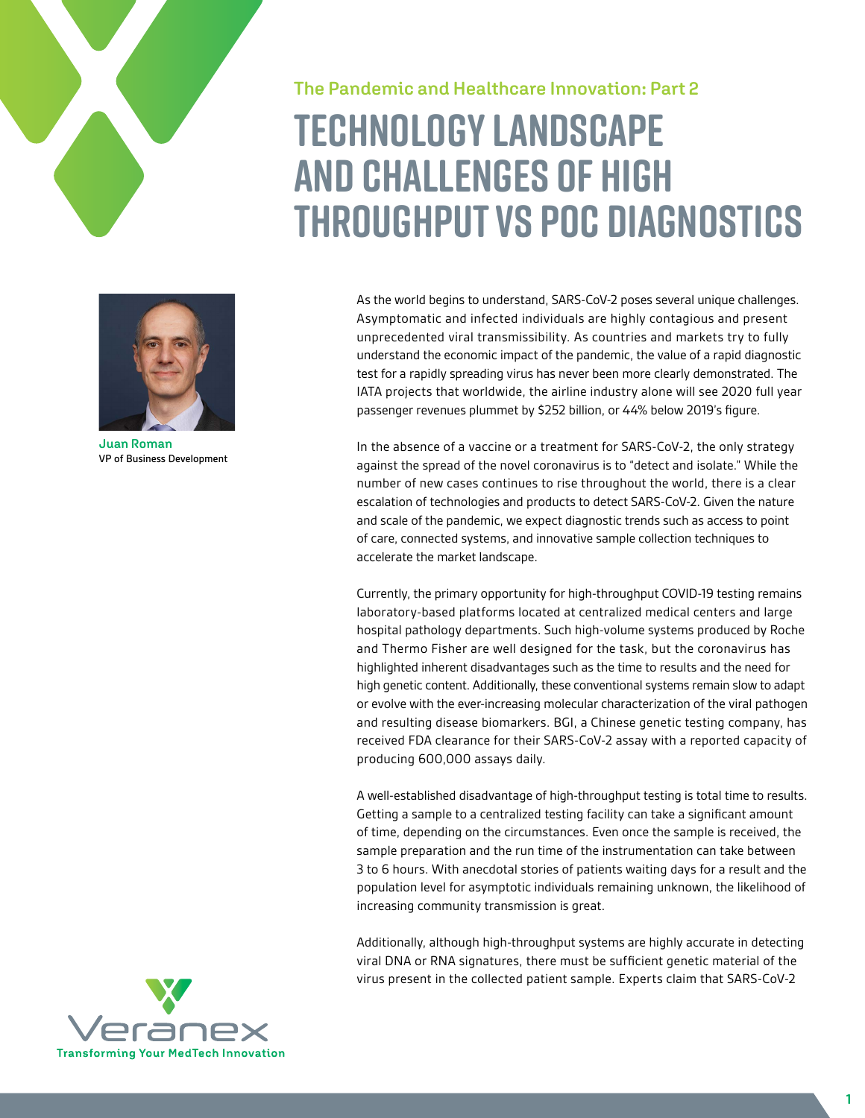

**The Pandemic and Healthcare Innovation: Part 2**

# **Technology landscape and challenges of high throughput vs POC diagnostics**



**Juan Roman** VP of Business Development

As the world begins to understand, SARS-CoV-2 poses several unique challenges. Asymptomatic and infected individuals are highly contagious and present unprecedented viral transmissibility. As countries and markets try to fully understand the economic impact of the pandemic, the value of a rapid diagnostic test for a rapidly spreading virus has never been more clearly demonstrated. The IATA projects that worldwide, the airline industry alone will see 2020 full year passenger revenues plummet by \$252 billion, or 44% below 2019's figure.

In the absence of a vaccine or a treatment for SARS-CoV-2, the only strategy against the spread of the novel coronavirus is to "detect and isolate." While the number of new cases continues to rise throughout the world, there is a clear escalation of technologies and products to detect SARS-CoV-2. Given the nature and scale of the pandemic, we expect diagnostic trends such as access to point of care, connected systems, and innovative sample collection techniques to accelerate the market landscape.

Currently, the primary opportunity for high-throughput COVID-19 testing remains laboratory-based platforms located at centralized medical centers and large hospital pathology departments. Such high-volume systems produced by Roche and Thermo Fisher are well designed for the task, but the coronavirus has highlighted inherent disadvantages such as the time to results and the need for high genetic content. Additionally, these conventional systems remain slow to adapt or evolve with the ever-increasing molecular characterization of the viral pathogen and resulting disease biomarkers. BGI, a Chinese genetic testing company, has received FDA clearance for their SARS-CoV-2 assay with a reported capacity of producing 600,000 assays daily.

A well-established disadvantage of high-throughput testing is total time to results. Getting a sample to a centralized testing facility can take a significant amount of time, depending on the circumstances. Even once the sample is received, the sample preparation and the run time of the instrumentation can take between 3 to 6 hours. With anecdotal stories of patients waiting days for a result and the population level for asymptotic individuals remaining unknown, the likelihood of increasing community transmission is great.

Additionally, although high-throughput systems are highly accurate in detecting viral DNA or RNA signatures, there must be sufficient genetic material of the virus present in the collected patient sample. Experts claim that SARS-CoV-2

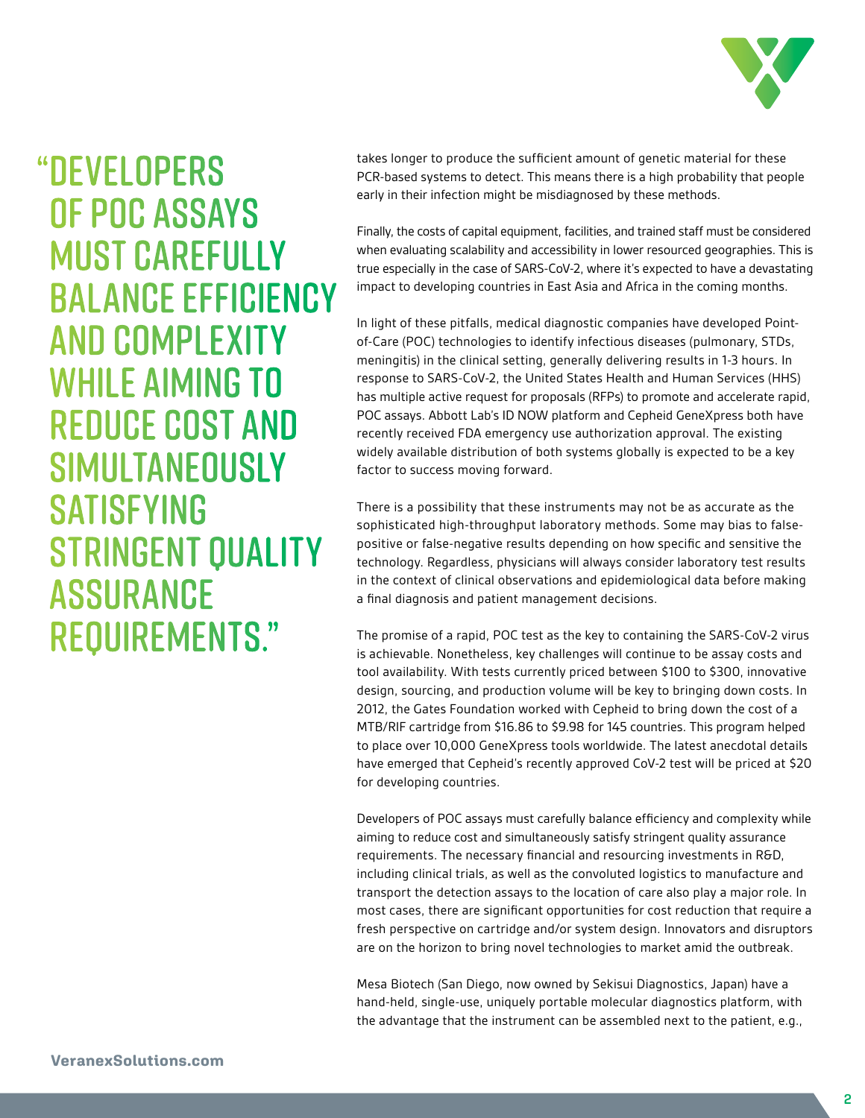

## "DEVELOPERS OF POC ASSAYS MUST CAREFULLY BALANCE EFFICIENCY AND COMPLEXITY WHILE AIMING TO REDUCE COST AND SIMULTANEOUSLY SATISFYING STRINGENT QUALITY ASSURANCE REQUIREMENTS."

takes longer to produce the sufficient amount of genetic material for these PCR-based systems to detect. This means there is a high probability that people early in their infection might be misdiagnosed by these methods.

Finally, the costs of capital equipment, facilities, and trained staff must be considered when evaluating scalability and accessibility in lower resourced geographies. This is true especially in the case of SARS-CoV-2, where it's expected to have a devastating impact to developing countries in East Asia and Africa in the coming months.

In light of these pitfalls, medical diagnostic companies have developed Pointof-Care (POC) technologies to identify infectious diseases (pulmonary, STDs, meningitis) in the clinical setting, generally delivering results in 1-3 hours. In response to SARS-CoV-2, the United States Health and Human Services (HHS) has multiple active request for proposals (RFPs) to promote and accelerate rapid, POC assays. Abbott Lab's ID NOW platform and Cepheid GeneXpress both have recently received FDA emergency use authorization approval. The existing widely available distribution of both systems globally is expected to be a key factor to success moving forward.

There is a possibility that these instruments may not be as accurate as the sophisticated high-throughput laboratory methods. Some may bias to falsepositive or false-negative results depending on how specific and sensitive the technology. Regardless, physicians will always consider laboratory test results in the context of clinical observations and epidemiological data before making a final diagnosis and patient management decisions.

The promise of a rapid, POC test as the key to containing the SARS-CoV-2 virus is achievable. Nonetheless, key challenges will continue to be assay costs and tool availability. With tests currently priced between \$100 to \$300, innovative design, sourcing, and production volume will be key to bringing down costs. In 2012, the Gates Foundation worked with Cepheid to bring down the cost of a MTB/RIF cartridge from \$16.86 to \$9.98 for 145 countries. This program helped to place over 10,000 GeneXpress tools worldwide. The latest anecdotal details have emerged that Cepheid's recently approved CoV-2 test will be priced at \$20 for developing countries.

Developers of POC assays must carefully balance efficiency and complexity while aiming to reduce cost and simultaneously satisfy stringent quality assurance requirements. The necessary financial and resourcing investments in R&D, including clinical trials, as well as the convoluted logistics to manufacture and transport the detection assays to the location of care also play a major role. In most cases, there are significant opportunities for cost reduction that require a fresh perspective on cartridge and/or system design. Innovators and disruptors are on the horizon to bring novel technologies to market amid the outbreak.

Mesa Biotech (San Diego, now owned by Sekisui Diagnostics, Japan) have a hand-held, single-use, uniquely portable molecular diagnostics platform, with the advantage that the instrument can be assembled next to the patient, e.g.,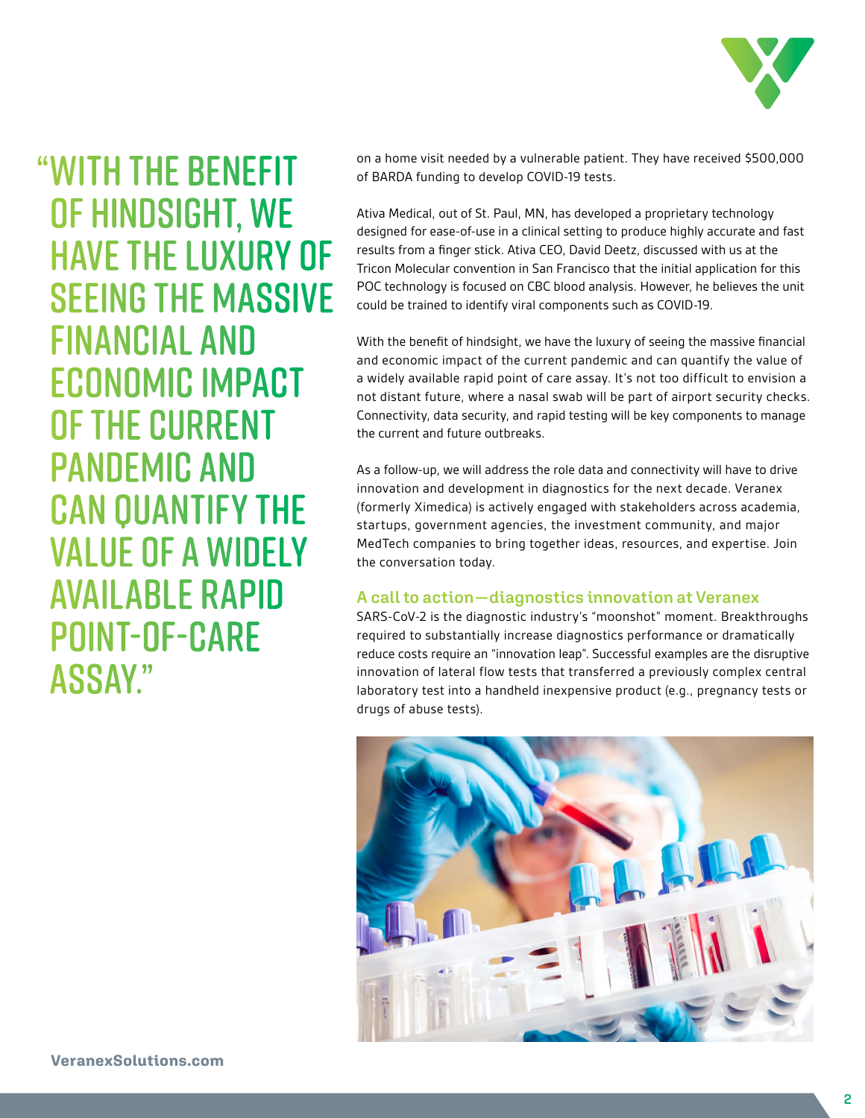

"WITH THE BENEFIT OF HINDSIGHT, WE HAVE THE LUXURY OF SEEING THE MASSIVE FINANCIAL AND ECONOMIC IMPACT OF THE CURRENT PANDEMIC AND CAN QUANTIFY THE VALUE OF A WIDELY AVAILABLE RAPID POINT-OF-CARE ASSAY."

on a home visit needed by a vulnerable patient. They have received \$500,000 of BARDA funding to develop COVID-19 tests.

Ativa Medical, out of St. Paul, MN, has developed a proprietary technology designed for ease-of-use in a clinical setting to produce highly accurate and fast results from a finger stick. Ativa CEO, David Deetz, discussed with us at the Tricon Molecular convention in San Francisco that the initial application for this POC technology is focused on CBC blood analysis. However, he believes the unit could be trained to identify viral components such as COVID-19.

With the benefit of hindsight, we have the luxury of seeing the massive financial and economic impact of the current pandemic and can quantify the value of a widely available rapid point of care assay. It's not too difficult to envision a not distant future, where a nasal swab will be part of airport security checks. Connectivity, data security, and rapid testing will be key components to manage the current and future outbreaks.

As a follow-up, we will address the role data and connectivity will have to drive innovation and development in diagnostics for the next decade. Veranex (formerly Ximedica) is actively engaged with stakeholders across academia, startups, government agencies, the investment community, and major MedTech companies to bring together ideas, resources, and expertise. Join the conversation today.

### **A call to action — diagnostics innovation at Veranex**

SARS-CoV-2 is the diagnostic industry's "moonshot" moment. Breakthroughs required to substantially increase diagnostics performance or dramatically reduce costs require an "innovation leap". Successful examples are the disruptive innovation of lateral flow tests that transferred a previously complex central laboratory test into a handheld inexpensive product (e.g., pregnancy tests or drugs of abuse tests).